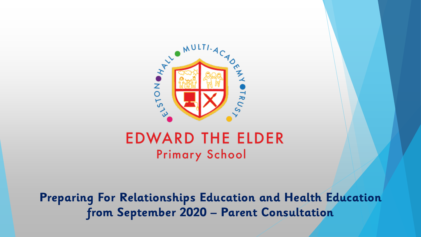

#### **EDWARD THE ELDER Primary School**

**Preparing For Relationships Education and Health Education from September 2020 – Parent Consultation**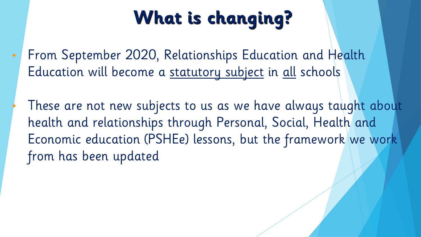# **What is changing?**

• From September 2020, Relationships Education and Health Education will become a statutory subject in all schools

These are not new subjects to us as we have always taught about health and relationships through Personal, Social, Health and Economic education (PSHEe) lessons, but the framework we work from has been updated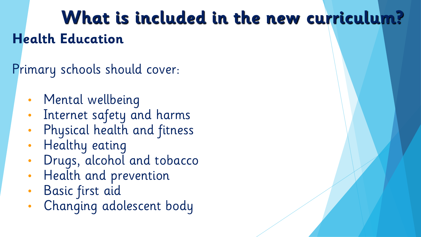# **What is included in the new curriculum? Health Education**

Primary schools should cover:

- Mental wellbeing
- Internet safety and harms
- Physical health and fitness
- Healthy eating
- Drugs, alcohol and tobacco
- Health and prevention
- Basic first aid
- Changing adolescent body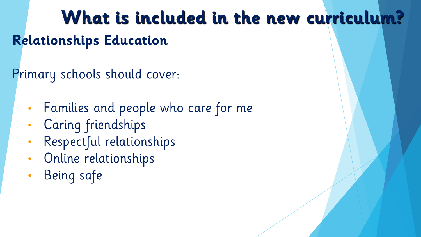**What is included in the new curriculum? Relationships Education**

Primary schools should cover:

- Families and people who care for me
- Caring friendships
- Respectful relationships
- Online relationships
- Being safe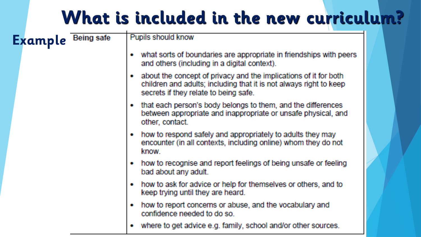### **What is included in the new curriculum?**

**Being safe Example**

#### Pupils should know

- what sorts of boundaries are appropriate in friendships with peers and others (including in a digital context).
- about the concept of privacy and the implications of it for both children and adults; including that it is not always right to keep secrets if they relate to being safe.
- that each person's body belongs to them, and the differences between appropriate and inappropriate or unsafe physical, and other, contact.
- how to respond safely and appropriately to adults they may encounter (in all contexts, including online) whom they do not know
- how to recognise and report feelings of being unsafe or feeling bad about any adult.
- how to ask for advice or help for themselves or others, and to keep trying until they are heard.
- how to report concerns or abuse, and the vocabulary and confidence needed to do so
- where to get advice e.g. family, school and/or other sources.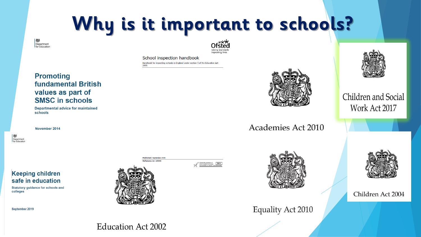# **Why is it important to schools?**

燃 Department for Education

School inspection handbook Handbook for inspecting schools in England under section 5 of the Education Act



Children and Social Work Act 2017

Academies Act 2010





Children Act 2004

Corporate member of 361<br>Plain English Campaign 361



**Equality Act 2010** 

#### **Education Act 2002**

Published: September 2018 ace no: 150066

**Promoting fundamental British** values as part of **SMSC in schools** 

**Departmental advice for maintained** schools

November 2014

Department

#### **Keeping children** safe in education Statutory guidance for schools and

colleges

September 2019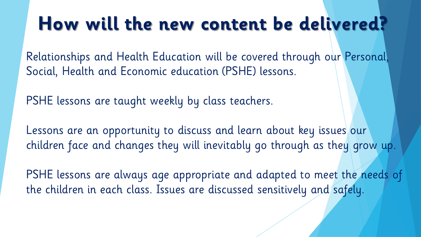# **How will the new content be delivered?**

Relationships and Health Education will be covered through our Personal, Social, Health and Economic education (PSHE) lessons.

PSHE lessons are taught weekly by class teachers.

Lessons are an opportunity to discuss and learn about key issues our children face and changes they will inevitably go through as they grow up.

PSHE lessons are always age appropriate and adapted to meet the needs of the children in each class. Issues are discussed sensitively and safely.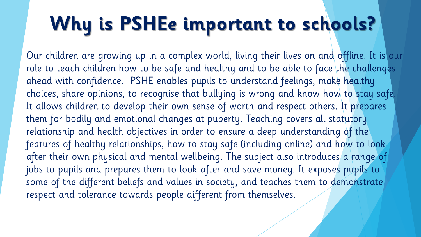# **Why is PSHEe important to schools?**

Our children are growing up in a complex world, living their lives on and offline. It is our role to teach children how to be safe and healthy and to be able to face the challenges ahead with confidence. PSHE enables pupils to understand feelings, make healthy choices, share opinions, to recognise that bullying is wrong and know how to stay safe. It allows children to develop their own sense of worth and respect others. It prepares them for bodily and emotional changes at puberty. Teaching covers all statutory relationship and health objectives in order to ensure a deep understanding of the features of healthy relationships, how to stay safe (including online) and how to look after their own physical and mental wellbeing. The subject also introduces a range of jobs to pupils and prepares them to look after and save money. It exposes pupils to some of the different beliefs and values in society, and teaches them to demonstrate respect and tolerance towards people different from themselves.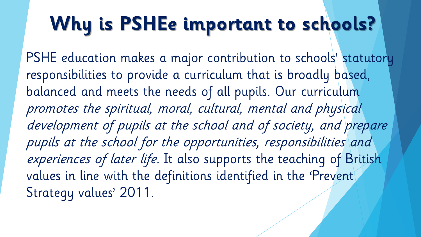# **Why is PSHEe important to schools?**

PSHE education makes a major contribution to schools' statutory responsibilities to provide a curriculum that is broadly based, balanced and meets the needs of all pupils. Our curriculum promotes the spiritual, moral, cultural, mental and physical development of pupils at the school and of society, and prepare pupils at the school for the opportunities, responsibilities and experiences of later life. It also supports the teaching of British values in line with the definitions identified in the 'Prevent Strategy values' 2011.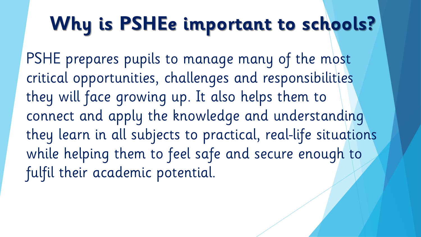# **Why is PSHEe important to schools?**

PSHE prepares pupils to manage many of the most critical opportunities, challenges and responsibilities they will face growing up. It also helps them to connect and apply the knowledge and understanding they learn in all subjects to practical, real-life situations while helping them to feel safe and secure enough to fulfil their academic potential.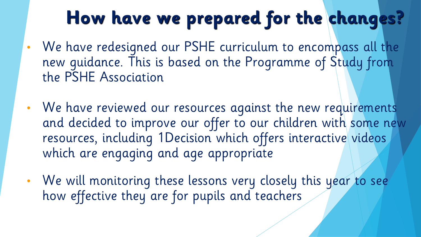# **How have we prepared for the changes?**

- We have redesigned our PSHE curriculum to encompass all the new guidance. This is based on the Programme of Study from the PSHE Association
- We have reviewed our resources against the new requirements and decided to improve our offer to our children with some new resources, including 1Decision which offers interactive videos which are engaging and age appropriate
- We will monitoring these lessons very closely this year to see how effective they are for pupils and teachers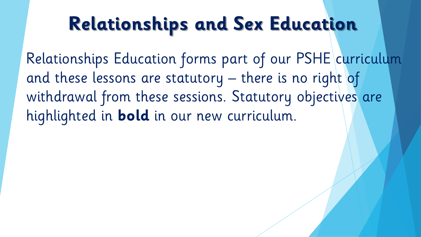### **Relationships and Sex Education**

Relationships Education forms part of our PSHE curriculum and these lessons are statutory – there is no right of withdrawal from these sessions. Statutory objectives are highlighted in **bold** in our new curriculum.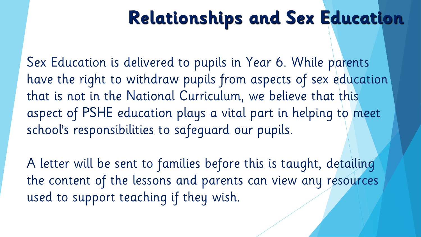### **Relationships and Sex Education**

Sex Education is delivered to pupils in Year 6. While parents have the right to withdraw pupils from aspects of sex education that is not in the National Curriculum, we believe that this aspect of PSHE education plays a vital part in helping to meet school's responsibilities to safeguard our pupils.

A letter will be sent to families before this is taught, detailing the content of the lessons and parents can view any resources used to support teaching if they wish.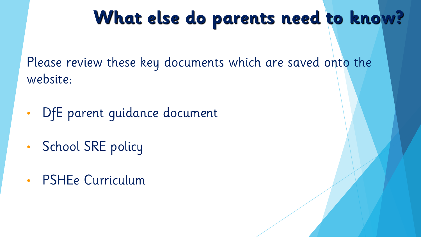### **What else do parents need to know?**

Please review these key documents which are saved onto the website:

- DfE parent guidance document
- School SRE policy
- PSHEe Curriculum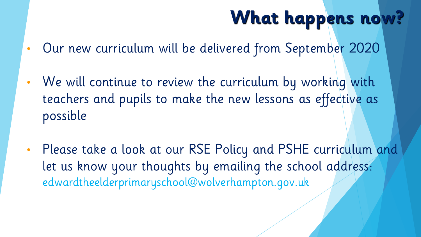### **What happens now?**

- Our new curriculum will be delivered from September 2020
- We will continue to review the curriculum by working with teachers and pupils to make the new lessons as effective as possible
- Please take a look at our RSE Policy and PSHE curriculum and let us know your thoughts by emailing the school address: edwardtheelderprimaryschool@wolverhampton.gov.uk